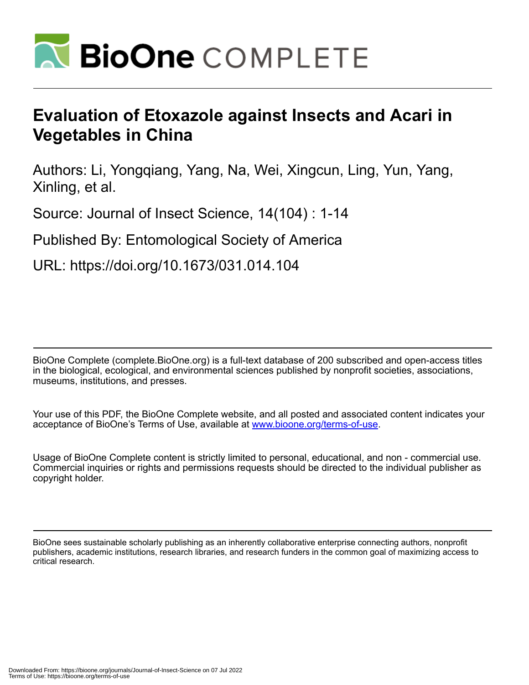

# **Evaluation of Etoxazole against Insects and Acari in Vegetables in China**

Authors: Li, Yongqiang, Yang, Na, Wei, Xingcun, Ling, Yun, Yang, Xinling, et al.

Source: Journal of Insect Science, 14(104) : 1-14

Published By: Entomological Society of America

URL: https://doi.org/10.1673/031.014.104

BioOne Complete (complete.BioOne.org) is a full-text database of 200 subscribed and open-access titles in the biological, ecological, and environmental sciences published by nonprofit societies, associations, museums, institutions, and presses.

Your use of this PDF, the BioOne Complete website, and all posted and associated content indicates your acceptance of BioOne's Terms of Use, available at www.bioone.org/terms-of-use.

Usage of BioOne Complete content is strictly limited to personal, educational, and non - commercial use. Commercial inquiries or rights and permissions requests should be directed to the individual publisher as copyright holder.

BioOne sees sustainable scholarly publishing as an inherently collaborative enterprise connecting authors, nonprofit publishers, academic institutions, research libraries, and research funders in the common goal of maximizing access to critical research.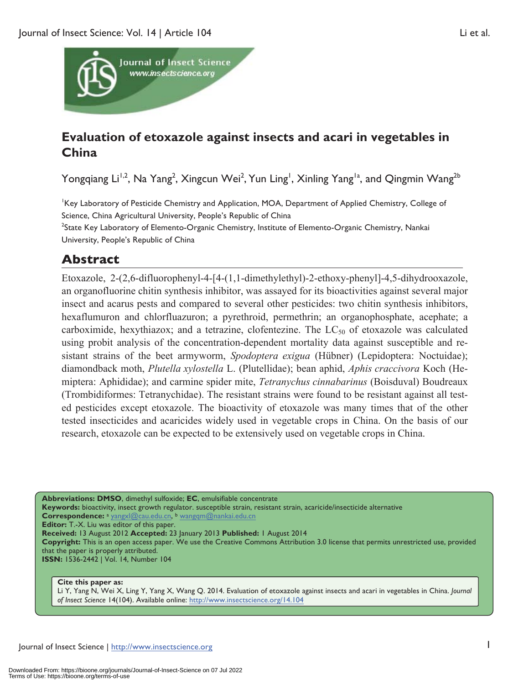

## **Evaluation of etoxazole against insects and acari in vegetables in China**

Yongqiang Li<sup>1,2</sup>, Na Yang<sup>2</sup>, Xingcun Wei<sup>2</sup>, Yun Ling<sup>1</sup>, Xinling Yang<sup>1a</sup>, and Qingmin Wang<sup>2b</sup>

Key Laboratory of Pesticide Chemistry and Application, MOA, Department of Applied Chemistry, College of Science, China Agricultural University, People's Republic of China <sup>2</sup>State Key Laboratory of Elemento-Organic Chemistry, Institute of Elemento-Organic Chemistry, Nankai University, People's Republic of China

## **Abstract**

Etoxazole, 2-(2,6-difluorophenyl-4-[4-(1,1-dimethylethyl)-2-ethoxy-phenyl]-4,5-dihydrooxazole, an organofluorine chitin synthesis inhibitor, was assayed for its bioactivities against several major insect and acarus pests and compared to several other pesticides: two chitin synthesis inhibitors, hexaflumuron and chlorfluazuron; a pyrethroid, permethrin; an organophosphate, acephate; a carboximide, hexythiazox; and a tetrazine, clofentezine. The  $LC_{50}$  of etoxazole was calculated using probit analysis of the concentration-dependent mortality data against susceptible and resistant strains of the beet armyworm, *Spodoptera exigua* (Hübner) (Lepidoptera: Noctuidae); diamondback moth, *Plutella xylostella* L. (Plutellidae); bean aphid, *Aphis craccivora* Koch (Hemiptera: Aphididae); and carmine spider mite, *Tetranychus cinnabarinus* (Boisduval) Boudreaux (Trombidiformes: Tetranychidae). The resistant strains were found to be resistant against all tested pesticides except etoxazole. The bioactivity of etoxazole was many times that of the other tested insecticides and acaricides widely used in vegetable crops in China. On the basis of our research, etoxazole can be expected to be extensively used on vegetable crops in China.

**Abbreviations: DMSO**, dimethyl sulfoxide; **EC**, emulsifiable concentrate **Keywords:** bioactivity, insect growth regulator. susceptible strain, resistant strain, acaricide/insecticide alternative **Correspondence:** <sup>a</sup> yangxl@cau.edu.cn, b wangqm@nankai.edu.cn **Editor:** T.-X. Liu was editor of this paper. **Received:** 13 August 2012 **Accepted:** 23 January 2013 **Published:** 1 August 2014 **Copyright:** This is an open access paper. We use the Creative Commons Attribution 3.0 license that permits unrestricted use, provided that the paper is properly attributed. **ISSN:** 1536-2442 | Vol. 14, Number 104

#### **Cite this paper as:**

Li Y, Yang N, Wei X, Ling Y, Yang X, Wang Q. 2014. Evaluation of etoxazole against insects and acari in vegetables in China. *Journal of Insect Science* 14(104). Available online: http://www.insectscience.org/14.104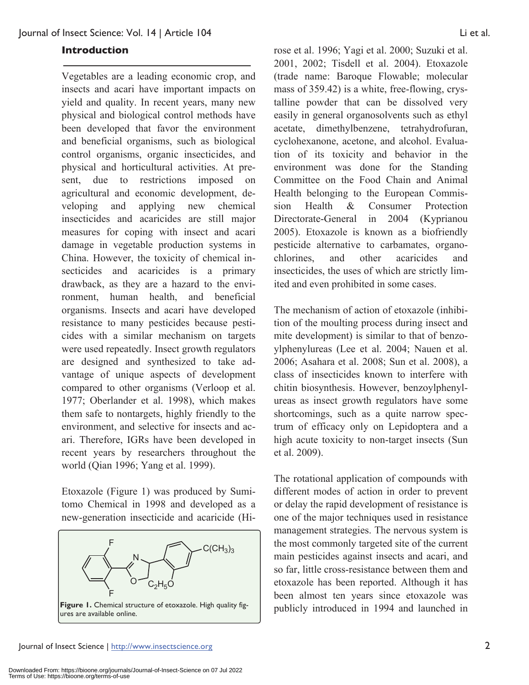#### **Introduction**

Vegetables are a leading economic crop, and insects and acari have important impacts on yield and quality. In recent years, many new physical and biological control methods have been developed that favor the environment and beneficial organisms, such as biological control organisms, organic insecticides, and physical and horticultural activities. At present, due to restrictions imposed on agricultural and economic development, developing and applying new chemical insecticides and acaricides are still major measures for coping with insect and acari damage in vegetable production systems in China. However, the toxicity of chemical insecticides and acaricides is a primary drawback, as they are a hazard to the environment, human health, and beneficial organisms. Insects and acari have developed resistance to many pesticides because pesticides with a similar mechanism on targets were used repeatedly. Insect growth regulators are designed and synthesized to take advantage of unique aspects of development compared to other organisms (Verloop et al. 1977; Oberlander et al. 1998), which makes them safe to nontargets, highly friendly to the environment, and selective for insects and acari. Therefore, IGRs have been developed in recent years by researchers throughout the world (Qian 1996; Yang et al. 1999).

Etoxazole (Figure 1) was produced by Sumitomo Chemical in 1998 and developed as a new-generation insecticide and acaricide (Hi-



rose et al. 1996; Yagi et al. 2000; Suzuki et al. 2001, 2002; Tisdell et al. 2004). Etoxazole (trade name: Baroque Flowable; molecular mass of 359.42) is a white, free-flowing, crystalline powder that can be dissolved very easily in general organosolvents such as ethyl acetate, dimethylbenzene, tetrahydrofuran, cyclohexanone, acetone, and alcohol. Evaluation of its toxicity and behavior in the environment was done for the Standing Committee on the Food Chain and Animal Health belonging to the European Commission Health & Consumer Protection Directorate-General in 2004 (Kyprianou 2005). Etoxazole is known as a biofriendly pesticide alternative to carbamates, organochlorines, and other acaricides and insecticides, the uses of which are strictly limited and even prohibited in some cases.

The mechanism of action of etoxazole (inhibition of the moulting process during insect and mite development) is similar to that of benzoylphenylureas (Lee et al. 2004; Nauen et al. 2006; Asahara et al. 2008; Sun et al. 2008), a class of insecticides known to interfere with chitin biosynthesis. However, benzoylphenylureas as insect growth regulators have some shortcomings, such as a quite narrow spectrum of efficacy only on Lepidoptera and a high acute toxicity to non-target insects (Sun et al. 2009).

The rotational application of compounds with different modes of action in order to prevent or delay the rapid development of resistance is one of the major techniques used in resistance management strategies. The nervous system is the most commonly targeted site of the current main pesticides against insects and acari, and so far, little cross-resistance between them and etoxazole has been reported. Although it has been almost ten years since etoxazole was publicly introduced in 1994 and launched in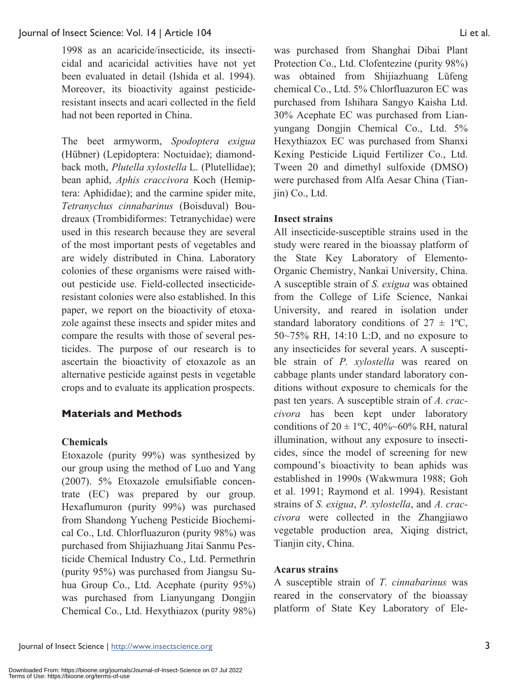1998 as an acaricide/insecticide, its insecticidal and acaricidal activities have not yet been evaluated in detail (Ishida et al. 1994). Moreover, its bioactivity against pesticideresistant insects and acari collected in the field had not been reported in China.

The beet armyworm, *Spodoptera exigua* (Hübner) (Lepidoptera: Noctuidae); diamondback moth, *Plutella xylostella* L. (Plutellidae); bean aphid, *Aphis craccivora* Koch (Hemiptera: Aphididae); and the carmine spider mite, *Tetranychus cinnabarinus* (Boisduval) Boudreaux (Trombidiformes: Tetranychidae) were used in this research because they are several of the most important pests of vegetables and are widely distributed in China. Laboratory colonies of these organisms were raised without pesticide use. Field-collected insecticideresistant colonies were also established. In this paper, we report on the bioactivity of etoxazole against these insects and spider mites and compare the results with those of several pesticides. The purpose of our research is to ascertain the bioactivity of etoxazole as an alternative pesticide against pests in vegetable crops and to evaluate its application prospects.

## **Materials and Methods**

## **Chemicals**

Etoxazole (purity 99%) was synthesized by our group using the method of Luo and Yang (2007). 5% Etoxazole emulsifiable concentrate (EC) was prepared by our group. Hexaflumuron (purity 99%) was purchased from Shandong Yucheng Pesticide Biochemical Co., Ltd. Chlorfluazuron (purity 98%) was purchased from Shijiazhuang Jitai Sanmu Pesticide Chemical Industry Co., Ltd. Permethrin (purity 95%) was purchased from Jiangsu Suhua Group Co., Ltd. Acephate (purity 95%) was purchased from Lianyungang Dongjin Chemical Co., Ltd. Hexythiazox (purity 98%)

was purchased from Shanghai Dibai Plant Protection Co., Ltd. Clofentezine (purity 98%) was obtained from Shijiazhuang Lŭfeng chemical Co., Ltd. 5% Chlorfluazuron EC was purchased from Ishihara Sangyo Kaisha Ltd. 30% Acephate EC was purchased from Lianyungang Dongjin Chemical Co., Ltd. 5% Hexythiazox EC was purchased from Shanxi Kexing Pesticide Liquid Fertilizer Co., Ltd. Tween 20 and dimethyl sulfoxide (DMSO) were purchased from Alfa Aesar China (Tianjin) Co., Ltd.

## **Insect strains**

All insecticide-susceptible strains used in the study were reared in the bioassay platform of the State Key Laboratory of Elemento-Organic Chemistry, Nankai University, China. A susceptible strain of *S. exigua* was obtained from the College of Life Science, Nankai University, and reared in isolation under standard laboratory conditions of  $27 \pm 1$ °C, 50~75% RH, 14:10 L:D, and no exposure to any insecticides for several years. A susceptible strain of *P. xylostella* was reared on cabbage plants under standard laboratory conditions without exposure to chemicals for the past ten years. A susceptible strain of *A. craccivora* has been kept under laboratory conditions of  $20 \pm 1$ °C, 40%~60% RH, natural illumination, without any exposure to insecticides, since the model of screening for new compound's bioactivity to bean aphids was established in 1990s (Wakwmura 1988; Goh et al. 1991; Raymond et al. 1994). Resistant strains of *S. exigua*, *P. xylostella*, and *A. craccivora* were collected in the Zhangjiawo vegetable production area, Xiqing district, Tianjin city, China.

## **Acarus strains**

A susceptible strain of *T. cinnabarinus* was reared in the conservatory of the bioassay platform of State Key Laboratory of Ele-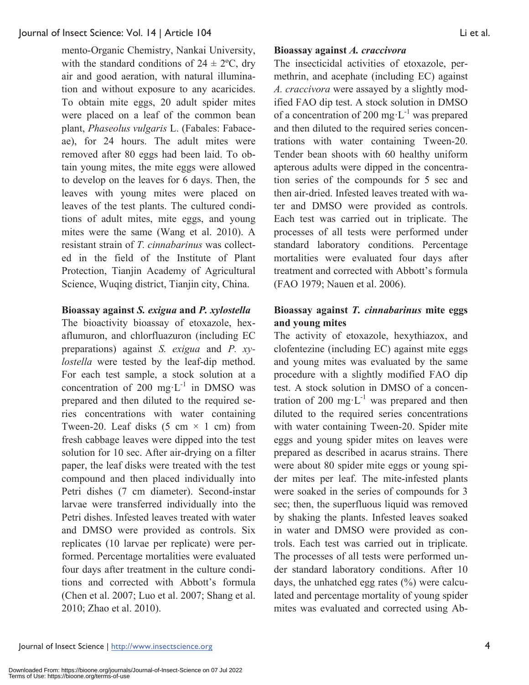mento-Organic Chemistry, Nankai University, with the standard conditions of  $24 \pm 2^{\circ}\text{C}$ , dry air and good aeration, with natural illumination and without exposure to any acaricides. To obtain mite eggs, 20 adult spider mites were placed on a leaf of the common bean plant, *Phaseolus vulgaris* L. (Fabales: Fabaceae), for 24 hours. The adult mites were removed after 80 eggs had been laid. To obtain young mites, the mite eggs were allowed to develop on the leaves for 6 days. Then, the leaves with young mites were placed on leaves of the test plants. The cultured conditions of adult mites, mite eggs, and young mites were the same (Wang et al. 2010). A resistant strain of *T. cinnabarinus* was collected in the field of the Institute of Plant Protection, Tianjin Academy of Agricultural Science, Wuqing district, Tianjin city, China.

#### **Bioassay against** *S. exigua* **and** *P. xylostella*

The bioactivity bioassay of etoxazole, hexaflumuron, and chlorfluazuron (including EC preparations) against *S. exigua* and *P. xylostella* were tested by the leaf-dip method. For each test sample, a stock solution at a concentration of 200 mg· $L^{-1}$  in DMSO was prepared and then diluted to the required series concentrations with water containing Tween-20. Leaf disks  $(5 \text{ cm} \times 1 \text{ cm})$  from fresh cabbage leaves were dipped into the test solution for 10 sec. After air-drying on a filter paper, the leaf disks were treated with the test compound and then placed individually into Petri dishes (7 cm diameter). Second-instar larvae were transferred individually into the Petri dishes. Infested leaves treated with water and DMSO were provided as controls. Six replicates (10 larvae per replicate) were performed. Percentage mortalities were evaluated four days after treatment in the culture conditions and corrected with Abbott's formula (Chen et al. 2007; Luo et al. 2007; Shang et al. 2010; Zhao et al. 2010).

#### **Bioassay against** *A. craccivora*

The insecticidal activities of etoxazole, permethrin, and acephate (including EC) against *A. craccivora* were assayed by a slightly modified FAO dip test. A stock solution in DMSO of a concentration of 200 mg $L^{-1}$  was prepared and then diluted to the required series concentrations with water containing Tween-20. Tender bean shoots with 60 healthy uniform apterous adults were dipped in the concentration series of the compounds for 5 sec and then air-dried. Infested leaves treated with water and DMSO were provided as controls. Each test was carried out in triplicate. The processes of all tests were performed under standard laboratory conditions. Percentage mortalities were evaluated four days after treatment and corrected with Abbott's formula (FAO 1979; Nauen et al. 2006).

## **Bioassay against** *T. cinnabarinus* **mite eggs and young mites**

The activity of etoxazole, hexythiazox, and clofentezine (including EC) against mite eggs and young mites was evaluated by the same procedure with a slightly modified FAO dip test. A stock solution in DMSO of a concentration of 200 mg· $L^{-1}$  was prepared and then diluted to the required series concentrations with water containing Tween-20. Spider mite eggs and young spider mites on leaves were prepared as described in acarus strains. There were about 80 spider mite eggs or young spider mites per leaf. The mite-infested plants were soaked in the series of compounds for 3 sec; then, the superfluous liquid was removed by shaking the plants. Infested leaves soaked in water and DMSO were provided as controls. Each test was carried out in triplicate. The processes of all tests were performed under standard laboratory conditions. After 10 days, the unhatched egg rates (%) were calculated and percentage mortality of young spider mites was evaluated and corrected using Ab-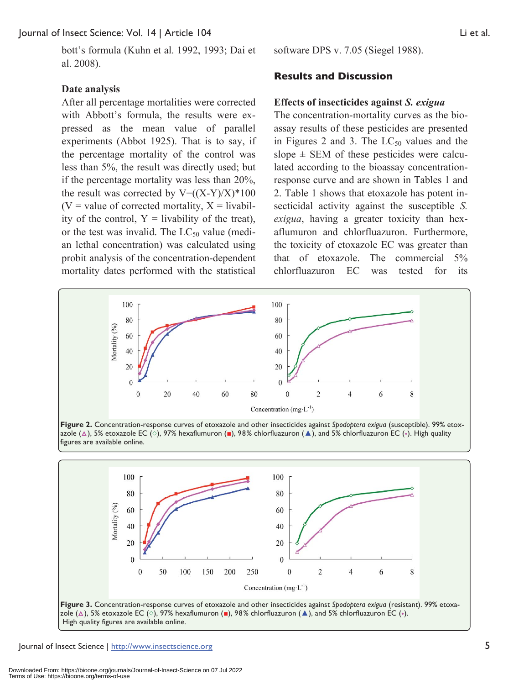bott's formula (Kuhn et al. 1992, 1993; Dai et al. 2008).

#### **Date analysis**

After all percentage mortalities were corrected with Abbott's formula, the results were expressed as the mean value of parallel experiments (Abbot 1925). That is to say, if the percentage mortality of the control was less than 5%, the result was directly used; but if the percentage mortality was less than 20%, the result was corrected by  $V=(X-Y)/X$ <sup>\*</sup>100  $(V = value of corrected mortality, X = livabil$ ity of the control,  $Y =$  livability of the treat), or the test was invalid. The  $LC_{50}$  value (median lethal concentration) was calculated using probit analysis of the concentration-dependent mortality dates performed with the statistical

software DPS v. 7.05 (Siegel 1988).

#### **Results and Discussion**

#### **Effects of insecticides against** *S. exigua*

The concentration-mortality curves as the bioassay results of these pesticides are presented in Figures 2 and 3. The  $LC_{50}$  values and the slope  $\pm$  SEM of these pesticides were calculated according to the bioassay concentrationresponse curve and are shown in Tables 1 and 2. Table 1 shows that etoxazole has potent insecticidal activity against the susceptible *S. exigua*, having a greater toxicity than hexaflumuron and chlorfluazuron. Furthermore, the toxicity of etoxazole EC was greater than that of etoxazole. The commercial 5% chlorfluazuron EC was tested for its





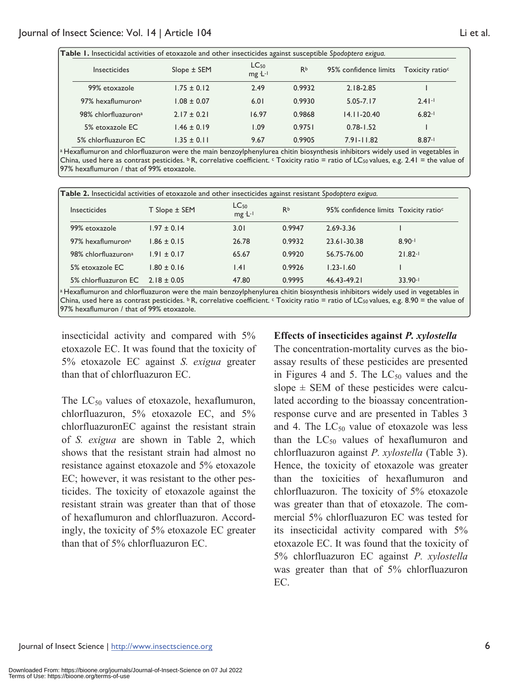| Table I. Insecticidal activities of etoxazole and other insecticides against susceptible Spodoptera exigua. |                 |                                 |           |                       |                             |  |
|-------------------------------------------------------------------------------------------------------------|-----------------|---------------------------------|-----------|-----------------------|-----------------------------|--|
| <b>Insecticides</b>                                                                                         | Slope ± SEM     | LC <sub>50</sub><br>$mg L^{-1}$ | <b>Rb</b> | 95% confidence limits | Toxicity ratio <sup>c</sup> |  |
| 99% etoxazole                                                                                               | $1.75 \pm 0.12$ | 2.49                            | 0.9932    | $2.18 - 2.85$         |                             |  |
| 97% hexaflumuron <sup>a</sup>                                                                               | $1.08 \pm 0.07$ | 6.01                            | 0.9930    | $5.05 - 7.17$         | $2.41 -$                    |  |
| 98% chlorfluazuron <sup>a</sup>                                                                             | $2.17 \pm 0.21$ | 16.97                           | 0.9868    | $14.11 - 20.40$       | $6.82 - 1$                  |  |
| 5% etoxazole EC                                                                                             | $1.46 \pm 0.19$ | 1.09                            | 0.9751    | $0.78 - 1.52$         |                             |  |
| 5% chlorfluazuron EC                                                                                        | $1.35 \pm 0.11$ | 9.67                            | 0.9905    | $7.91 - 11.82$        | $8.87 - 1$                  |  |

a Hexaflumuron and chlorfluazuron were the main benzoylphenylurea chitin biosynthesis inhibitors widely used in vegetables in China, used here as contrast pesticides.  $\overline{b}$  R, correlative coefficient.  $\overline{c}$  Toxicity ratio = ratio of LC<sub>50</sub> values, e.g. 2.41 = the value of 97% hexaflumuron / that of 99% etoxazole.

| Table 2. Insecticidal activities of etoxazole and other insecticides against resistant Spodoptera exigua. |                 |                      |                |               |                                                   |  |
|-----------------------------------------------------------------------------------------------------------|-----------------|----------------------|----------------|---------------|---------------------------------------------------|--|
| <b>Insecticides</b>                                                                                       | T Slope ± SEM   | $LC_{50}$<br>mg ·L-1 | R <sub>b</sub> |               | 95% confidence limits Toxicity ratio <sup>c</sup> |  |
| 99% etoxazole                                                                                             | $1.97 \pm 0.14$ | 3.01                 | 0.9947         | 2.69-3.36     |                                                   |  |
| 97% hexaflumuron <sup>a</sup>                                                                             | $1.86 \pm 0.15$ | 26.78                | 0.9932         | 23.61-30.38   | $8.90 - 1$                                        |  |
| 98% chlorfluazuron <sup>a</sup>                                                                           | $1.91 \pm 0.17$ | 65.67                | 0.9920         | 56.75-76.00   | $21.82 - 1$                                       |  |
| 5% etoxazole EC                                                                                           | $1.80 \pm 0.16$ | 1.41                 | 0.9926         | $1.23 - 1.60$ |                                                   |  |
| 5% chlorfluazuron EC                                                                                      | $2.18 + 0.05$   | 47.80                | 0.9995         | 46.43-49.21   | $33.90 - 1$                                       |  |

a Hexaflumuron and chlorfluazuron were the main benzoylphenylurea chitin biosynthesis inhibitors widely used in vegetables in China, used here as contrast pesticides.  $b$  R, correlative coefficient.  $c$  Toxicity ratio = ratio of LC<sub>50</sub> values, e.g. 8.90 = the value of 97% hexaflumuron / that of 99% etoxazole.

insecticidal activity and compared with 5% etoxazole EC. It was found that the toxicity of 5% etoxazole EC against *S. exigua* greater than that of chlorfluazuron EC.

The  $LC_{50}$  values of etoxazole, hexaflumuron, chlorfluazuron, 5% etoxazole EC, and 5% chlorfluazuronEC against the resistant strain of *S. exigua* are shown in Table 2, which shows that the resistant strain had almost no resistance against etoxazole and 5% etoxazole EC; however, it was resistant to the other pesticides. The toxicity of etoxazole against the resistant strain was greater than that of those of hexaflumuron and chlorfluazuron. Accordingly, the toxicity of 5% etoxazole EC greater than that of 5% chlorfluazuron EC.

### **Effects of insecticides against** *P. xylostella*

The concentration-mortality curves as the bioassay results of these pesticides are presented in Figures 4 and 5. The  $LC_{50}$  values and the slope  $\pm$  SEM of these pesticides were calculated according to the bioassay concentrationresponse curve and are presented in Tables 3 and 4. The  $LC_{50}$  value of etoxazole was less than the  $LC_{50}$  values of hexaflumuron and chlorfluazuron against *P. xylostella* (Table 3). Hence, the toxicity of etoxazole was greater than the toxicities of hexaflumuron and chlorfluazuron. The toxicity of 5% etoxazole was greater than that of etoxazole. The commercial 5% chlorfluazuron EC was tested for its insecticidal activity compared with 5% etoxazole EC. It was found that the toxicity of 5% chlorfluazuron EC against *P. xylostella*  was greater than that of 5% chlorfluazuron EC.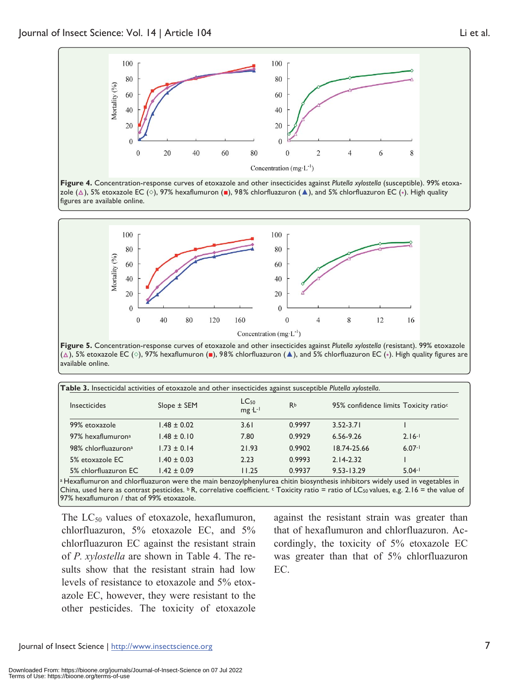

**Figure 4.** Concentration-response curves of etoxazole and other insecticides against *Plutella xylostella* (susceptible). 99% etoxazole (), 5% etoxazole EC (**◇**), 97% hexaflumuron (**■**), 98% chlorfluazuron (**▲**), and 5% chlorfluazuron EC (**◆**). High quality figures are available online.



**Figure 5.** Concentration-response curves of etoxazole and other insecticides against *Plutella xylostella* (resistant). 99% etoxazole (), 5% etoxazole EC (**◇**), 97% hexaflumuron (**■**), 98% chlorfluazuron (**▲**), and 5% chlorfluazuron EC (**◆**). High quality figures are available online.

| <b>Insecticides</b>           | $Slope \pm SEM$ | LC <sub>50</sub><br>$mg L^{-1}$ | <b>Rb</b> |                | 95% confidence limits Toxicity ratio <sup>c</sup> |
|-------------------------------|-----------------|---------------------------------|-----------|----------------|---------------------------------------------------|
| 99% etoxazole                 | $1.48 \pm 0.02$ | 3.61                            | 0.9997    | $3.52 - 3.71$  |                                                   |
| 97% hexaflumuron <sup>a</sup> | $1.48 \pm 0.10$ | 7.80                            | 0.9929    | $6.56 - 9.26$  | $2.16 - 1$                                        |
| 98% chlorfluazurona           | $1.73 \pm 0.14$ | 21.93                           | 0.9902    | 18.74-25.66    | $6.07 - 1$                                        |
| 5% etoxazole EC               | $1.40 \pm 0.03$ | 2.23                            | 0.9993    | $2.14 - 2.32$  |                                                   |
| 5% chlorfluazuron EC          | $1.42 \pm 0.09$ | 11.25                           | 0.9937    | $9.53 - 13.29$ | $5.04 - 1$                                        |

China, used here as contrast pesticides.  $b R$ , correlative coefficient.  $c$  Toxicity ratio = ratio of LC<sub>50</sub> values, e.g. 2.16 = the value of 97% hexaflumuron / that of 99% etoxazole.

The  $LC_{50}$  values of etoxazole, hexaflumuron, chlorfluazuron, 5% etoxazole EC, and 5% chlorfluazuron EC against the resistant strain of *P. xylostella* are shown in Table 4. The results show that the resistant strain had low levels of resistance to etoxazole and 5% etoxazole EC, however, they were resistant to the other pesticides. The toxicity of etoxazole

against the resistant strain was greater than that of hexaflumuron and chlorfluazuron. Accordingly, the toxicity of 5% etoxazole EC was greater than that of 5% chlorfluazuron EC.

Journal of Insect Science | http://www.insectscience.org 7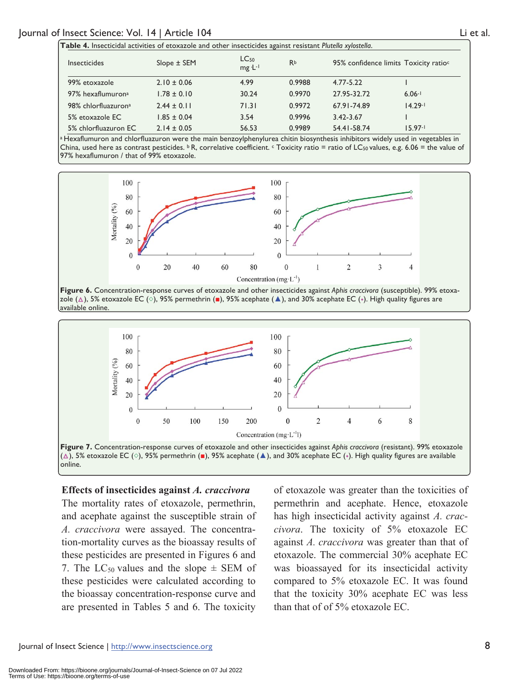| Table 4. Insecticidal activities of etoxazole and other insecticides against resistant Plutella xylostella. |                 |                             |                |               |                                                   |  |
|-------------------------------------------------------------------------------------------------------------|-----------------|-----------------------------|----------------|---------------|---------------------------------------------------|--|
| <b>Insecticides</b>                                                                                         | Slope ± SEM     | LC <sub>50</sub><br>mg ·L-1 | R <sub>b</sub> |               | 95% confidence limits Toxicity ratio <sup>c</sup> |  |
| 99% etoxazole                                                                                               | $2.10 \pm 0.06$ | 4.99                        | 0.9988         | $4.77 - 5.22$ |                                                   |  |
| 97% hexaflumuron <sup>a</sup>                                                                               | $1.78 \pm 0.10$ | 30.24                       | 0.9970         | 27.95-32.72   | $6.06 - 1$                                        |  |
| 98% chlorfluazurona                                                                                         | $2.44 \pm 0.11$ | 71.31                       | 0.9972         | 67.91-74.89   | $14.29 - 1$                                       |  |
| 5% etoxazole EC                                                                                             | $1.85 \pm 0.04$ | 3.54                        | 0.9996         | $3.42 - 3.67$ |                                                   |  |
| 5% chlorfluazuron EC                                                                                        | $2.14 \pm 0.05$ | 56.53                       | 0.9989         | 54.41-58.74   | $15.97 - 1$                                       |  |

a Hexaflumuron and chlorfluazuron were the main benzoylphenylurea chitin biosynthesis inhibitors widely used in vegetables in China, used here as contrast pesticides.  $\frac{b}{c}R$ , correlative coefficient.  $\frac{c}{c}T$  coxicity ratio = ratio of LC<sub>50</sub> values, e.g. 6.06 = the value of 97% hexaflumuron / that of 99% etoxazole.



**Figure 6.** Concentration-response curves of etoxazole and other insecticides against *Aphis craccivora* (susceptible). 99% etoxazole (), 5% etoxazole EC (**◇**), 95% permethrin (**■**), 95% acephate (**▲**), and 30% acephate EC (**◆**). High quality figures are available online.



#### **Effects of insecticides against** *A. craccivora*

The mortality rates of etoxazole, permethrin, and acephate against the susceptible strain of *A. craccivora* were assayed. The concentration-mortality curves as the bioassay results of these pesticides are presented in Figures 6 and 7. The LC<sub>50</sub> values and the slope  $\pm$  SEM of these pesticides were calculated according to the bioassay concentration-response curve and are presented in Tables 5 and 6. The toxicity of etoxazole was greater than the toxicities of permethrin and acephate. Hence, etoxazole has high insecticidal activity against *A. craccivora*. The toxicity of 5% etoxazole EC against *A. craccivora* was greater than that of etoxazole. The commercial 30% acephate EC was bioassayed for its insecticidal activity compared to 5% etoxazole EC. It was found that the toxicity 30% acephate EC was less than that of of 5% etoxazole EC.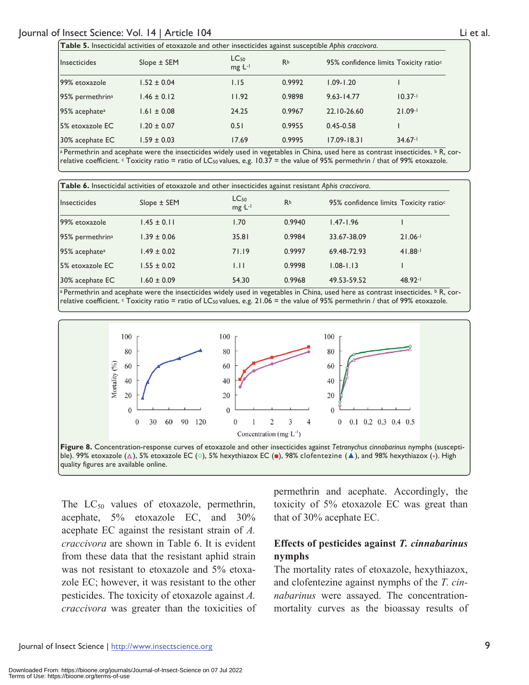| Table 5. Insecticidal activities of etoxazole and other insecticides against susceptible Aphis craccivora.                         |                 |                          |           |                 |                                                   |  |
|------------------------------------------------------------------------------------------------------------------------------------|-----------------|--------------------------|-----------|-----------------|---------------------------------------------------|--|
| Insecticides                                                                                                                       | $Slope \pm SEM$ | $LC_{50}$<br>$mg L^{-1}$ | <b>Rb</b> |                 | 95% confidence limits Toxicity ratio <sup>c</sup> |  |
| 99% etoxazole                                                                                                                      | $1.52 \pm 0.04$ | 1.15                     | 0.9992    | $1.09 - 1.20$   |                                                   |  |
| 95% permethrin <sup>a</sup>                                                                                                        | $1.46 \pm 0.12$ | 11.92                    | 0.9898    | $9.63 - 14.77$  | $10.37 - 1$                                       |  |
| 95% acephate <sup>a</sup>                                                                                                          | $1.61 \pm 0.08$ | 24.25                    | 0.9967    | 22.10-26.60     | $21.09 - 1$                                       |  |
| 5% etoxazole EC                                                                                                                    | $1.20 \pm 0.07$ | 0.51                     | 0.9955    | $0.45 - 0.58$   |                                                   |  |
| 30% acephate EC<br>the contract of the contract of the contract of the contract of the contract of the contract of the contract of | $1.59 \pm 0.03$ | 17.69                    | 0.9995    | $17.09 - 18.31$ | $34.67 -$                                         |  |

a Permethrin and acephate were the insecticides widely used in vegetables in China, used here as contrast insecticides. **b** R, correlative coefficient.  $\epsilon$  Toxicity ratio = ratio of LC<sub>50</sub> values, e.g. 10.37 = the value of 95% permethrin / that of 99% etoxazole.

| Table 6. Insecticidal activities of etoxazole and other insecticides against resistant Aphis craccivora. |                 |                                 |        |               |                                                   |  |
|----------------------------------------------------------------------------------------------------------|-----------------|---------------------------------|--------|---------------|---------------------------------------------------|--|
| <i>Insecticides</i>                                                                                      | $Slope \pm SEM$ | LC <sub>50</sub><br>$mg L^{-1}$ | Rb     |               | 95% confidence limits Toxicity ratio <sup>c</sup> |  |
| 99% etoxazole                                                                                            | $1.45 \pm 0.11$ | 1.70                            | 0.9940 | $1.47 - 1.96$ |                                                   |  |
| 95% permethrin <sup>a</sup>                                                                              | $1.39 \pm 0.06$ | 35.81                           | 0.9984 | 33.67-38.09   | $21.06 -$                                         |  |
| 95% acephate <sup>a</sup>                                                                                | $1.49 \pm 0.02$ | 71.19                           | 0.9997 | 69.48-72.93   | $41.88 - 1$                                       |  |
| 5% etoxazole EC                                                                                          | $1.55 \pm 0.02$ | 1.11                            | 0.9998 | $1.08 - 1.13$ |                                                   |  |
| $ 30\%$ acephate EC                                                                                      | $1.60 \pm 0.09$ | 54.30                           | 0.9968 | 49.53-59.52   | 48.92-1                                           |  |

a Permethrin and acephate were the insecticides widely used in vegetables in China, used here as contrast insecticides.  $\frac{b}{R}$ , correlative coefficient.  $\epsilon$  Toxicity ratio = ratio of LC<sub>50</sub> values, e.g. 21.06 = the value of 95% permethrin / that of 99% etoxazole.



quality figures are available online.

The  $LC_{50}$  values of etoxazole, permethrin, acephate, 5% etoxazole EC, and 30% acephate EC against the resistant strain of *A. craccivora* are shown in Table 6. It is evident from these data that the resistant aphid strain was not resistant to etoxazole and 5% etoxazole EC; however, it was resistant to the other pesticides. The toxicity of etoxazole against *A. craccivora* was greater than the toxicities of permethrin and acephate. Accordingly, the toxicity of 5% etoxazole EC was great than that of 30% acephate EC.

## **Effects of pesticides against** *T. cinnabarinus* **nymphs**

The mortality rates of etoxazole, hexythiazox, and clofentezine against nymphs of the *T. cinnabarinus* were assayed. The concentrationmortality curves as the bioassay results of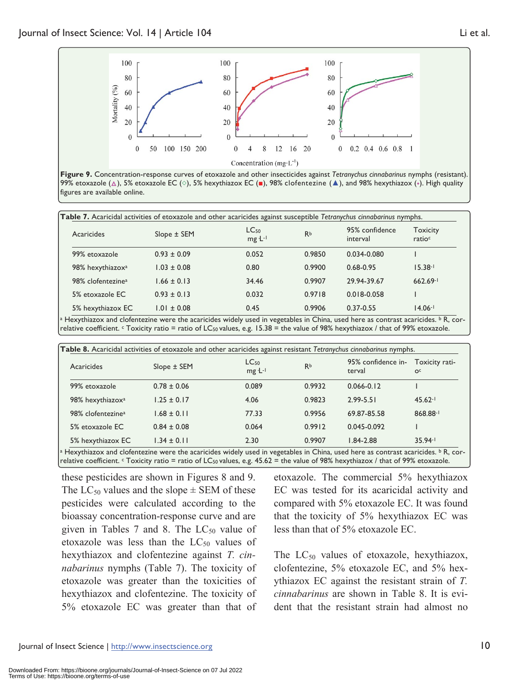100



**Figure 9.** Concentration-response curves of etoxazole and other insecticides against *Tetranychus cinnabarinus* nymphs (resistant). 99% etoxazole ( $\Delta$ ), 5% etoxazole EC ( $\circ$ ), 5% hexythiazox EC (■), 98% clofentezine (▲), and 98% hexythiazox (◆). High quality figures are available online.

| Acaricides                    | $Slope \pm SEM$ | $LC_{50}$<br>mg ·L-1 | <b>Rb</b> | 95% confidence<br>interval | <b>Toxicity</b><br>ratioc |
|-------------------------------|-----------------|----------------------|-----------|----------------------------|---------------------------|
| 99% etoxazole                 | $0.93 \pm 0.09$ | 0.052                | 0.9850    | $0.034 - 0.080$            |                           |
| 98% hexythiazox <sup>a</sup>  | $1.03 \pm 0.08$ | 0.80                 | 0.9900    | 0.68-0.95                  | $15.38 - 1$               |
| 98% clofentezine <sup>a</sup> | $1.66 \pm 0.13$ | 34.46                | 0.9907    | 29.94-39.67                | $662.69 - 1$              |
| 5% etoxazole EC               | $0.93 \pm 0.13$ | 0.032                | 0.9718    | $0.018 - 0.058$            |                           |
| 5% hexythiazox EC             | $1.01 \pm 0.08$ | 0.45                 | 0.9906    | $0.37 - 0.55$              | $14.06 -$                 |

Hexythiazox and clofentezine were the acaricides widely used in vegetables in China, used here as contrast relative coefficient. c Toxicity ratio = ratio of LC50 values, e.g. 15.38 = the value of 98% hexythiazox / that of 99% etoxazole.

| Acaricides                    | Table 8. Acaricidal activities of etoxazole and other acaricides against resistant Tetranychus cinnabarinus nymphs.<br>Slope ± SEM | LC <sub>50</sub><br>$mg L^{-1}$ | <b>Rb</b> | 95% confidence in-<br>terval | Toxicity rati-<br>O <sup>c</sup> |
|-------------------------------|------------------------------------------------------------------------------------------------------------------------------------|---------------------------------|-----------|------------------------------|----------------------------------|
| 99% etoxazole                 | $0.78 \pm 0.06$                                                                                                                    | 0.089                           | 0.9932    | $0.066 - 0.12$               |                                  |
| 98% hexythiazox <sup>a</sup>  | $1.25 \pm 0.17$                                                                                                                    | 4.06                            | 0.9823    | $2.99 - 5.51$                | $45.62 - 1$                      |
| 98% clofentezine <sup>a</sup> | $1.68 \pm 0.11$                                                                                                                    | 77.33                           | 0.9956    | 69.87-85.58                  | 868.88-1                         |
| 5% etoxazole EC               | $0.84 \pm 0.08$                                                                                                                    | 0.064                           | 0.9912    | 0.045-0.092                  |                                  |
| 5% hexythiazox EC             | $1.34 \pm 0.11$                                                                                                                    | 2.30                            | 0.9907    | $1.84 - 2.88$                | $35.94 - 1$                      |

a Hexythiazox and clofentezine were the acaricides widely used in vegetables in China, used here as contrast acaricides. b R, correlative coefficient. C Toxicity ratio = ratio of LC<sub>50</sub> values, e.g. 45.62 = the value of 98% hexythiazox / that of 99% etoxazole.

these pesticides are shown in Figures 8 and 9. The  $LC_{50}$  values and the slope  $\pm$  SEM of these pesticides were calculated according to the bioassay concentration-response curve and are given in Tables 7 and 8. The  $LC_{50}$  value of etoxazole was less than the  $LC_{50}$  values of hexythiazox and clofentezine against *T. cinnabarinus* nymphs (Table 7). The toxicity of etoxazole was greater than the toxicities of hexythiazox and clofentezine. The toxicity of 5% etoxazole EC was greater than that of

etoxazole. The commercial 5% hexythiazox EC was tested for its acaricidal activity and compared with 5% etoxazole EC. It was found that the toxicity of 5% hexythiazox EC was less than that of 5% etoxazole EC.

The  $LC_{50}$  values of etoxazole, hexythiazox, clofentezine, 5% etoxazole EC, and 5% hexythiazox EC against the resistant strain of *T. cinnabarinus* are shown in Table 8. It is evident that the resistant strain had almost no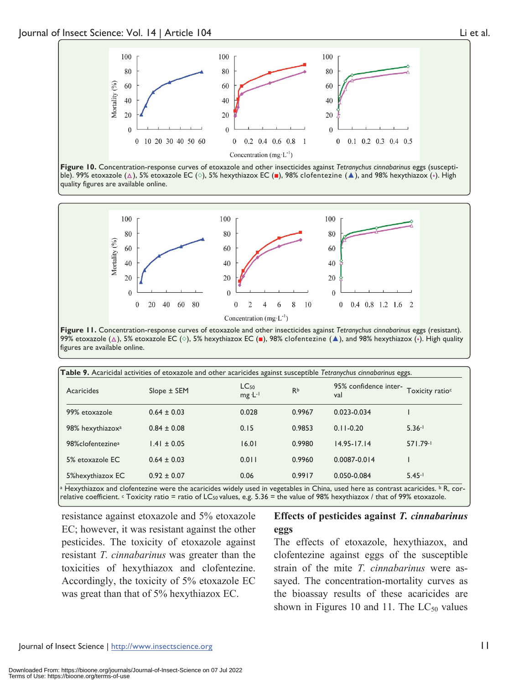

**Figure 10.** Concentration-response curves of etoxazole and other insecticides against *Tetranychus cinnabarinus* eggs (susceptible). 99% etoxazole (△), 5% etoxazole EC (◇), 5% hexythiazox EC (■), 98% clofentezine (▲), and 98% hexythiazox (◆). High quality figures are available online.



**Figure 11.** Concentration-response curves of etoxazole and other insecticides against *Tetranychus cinnabarinus* eggs (resistant). 99% etoxazole ( $\Delta$ ), 5% etoxazole EC ( $\diamond$ ), 5% hexythiazox EC ( $\blacksquare$ ), 98% clofentezine ( $\blacktriangle$ ), and 98% hexythiazox ( $\diamond$ ). High quality figures are available online.

|                              |                 |                                 |           | Table 9. Acaricidal activities of etoxazole and other acaricides against susceptible Tetranychus cinnabarinus eggs. |                             |
|------------------------------|-----------------|---------------------------------|-----------|---------------------------------------------------------------------------------------------------------------------|-----------------------------|
| Acaricides                   | $Slope \pm SEM$ | LC <sub>50</sub><br>$mg L^{-1}$ | <b>Rb</b> | 95% confidence inter-<br>val                                                                                        | Toxicity ratio <sup>c</sup> |
| 99% etoxazole                | $0.64 \pm 0.03$ | 0.028                           | 0.9967    | $0.023 - 0.034$                                                                                                     |                             |
| 98% hexythiazox <sup>a</sup> | $0.84 \pm 0.08$ | 0.15                            | 0.9853    | $0.11 - 0.20$                                                                                                       | $5.36 - 1$                  |
| 98%clofentezine <sup>a</sup> | $1.41 \pm 0.05$ | 16.01                           | 0.9980    | $14.95 - 17.14$                                                                                                     | 571.79-1                    |
| 5% etoxazole EC              | $0.64 \pm 0.03$ | 0.011                           | 0.9960    | $0.0087 - 0.014$                                                                                                    |                             |
| 5%hexythiazox EC             | $0.92 \pm 0.07$ | 0.06                            | 0.9917    | 0.050-0.084                                                                                                         | $5.45 - 1$                  |

Hexythiazox and clofentezine were the acaricides widely used in vegetables in China, used here as contrast acaricides relative coefficient. c Toxicity ratio = ratio of LC50 values, e.g. 5.36 = the value of 98% hexythiazox / that of 99% etoxazole.

resistance against etoxazole and 5% etoxazole EC; however, it was resistant against the other pesticides. The toxicity of etoxazole against resistant *T. cinnabarinus* was greater than the toxicities of hexythiazox and clofentezine. Accordingly, the toxicity of 5% etoxazole EC was great than that of 5% hexythiazox EC.

## **Effects of pesticides against** *T. cinnabarinus* **eggs**

The effects of etoxazole, hexythiazox, and clofentezine against eggs of the susceptible strain of the mite *T. cinnabarinus* were assayed. The concentration-mortality curves as the bioassay results of these acaricides are shown in Figures 10 and 11. The  $LC_{50}$  values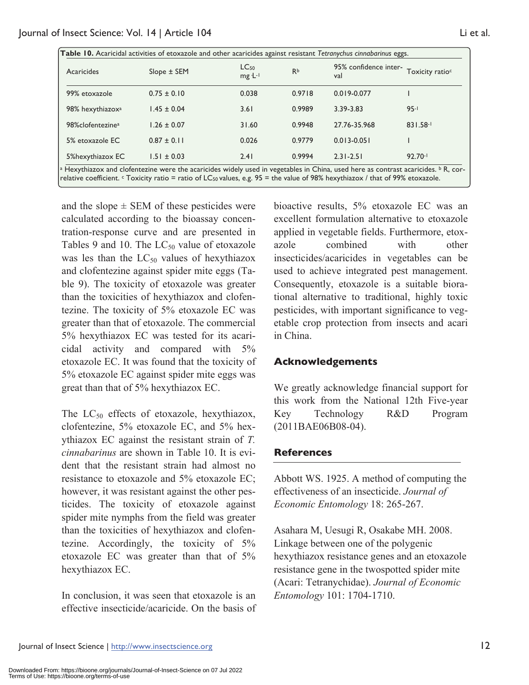| Acaricides                    | $Slope \pm SEM$ | $LC_{50}$<br>mg ·L-1 | <b>Rb</b> | 95% confidence inter- Toxicity ratios<br>val |              |
|-------------------------------|-----------------|----------------------|-----------|----------------------------------------------|--------------|
| 99% etoxazole                 | $0.75 \pm 0.10$ | 0.038                | 0.9718    | $0.019 - 0.077$                              |              |
| 98% hexythiazox <sup>a</sup>  | $1.45 \pm 0.04$ | 3.61                 | 0.9989    | 3.39-3.83                                    | $95 - 1$     |
| 98% clofentezine <sup>a</sup> | $1.26 \pm 0.07$ | 31.60                | 0.9948    | 27.76-35.968                                 | $831.58 - 1$ |
| 5% etoxazole EC               | $0.87 \pm 0.11$ | 0.026                | 0.9779    | $0.013 - 0.051$                              |              |
| 5%hexythiazox EC              | $1.51 \pm 0.03$ | 2.41                 | 0.9994    | $2.31 - 2.51$                                | $92.70 - 1$  |

and the slope  $\pm$  SEM of these pesticides were calculated according to the bioassay concentration-response curve and are presented in Tables 9 and 10. The  $LC_{50}$  value of etoxazole was les than the  $LC_{50}$  values of hexythiazox and clofentezine against spider mite eggs (Table 9). The toxicity of etoxazole was greater than the toxicities of hexythiazox and clofentezine. The toxicity of 5% etoxazole EC was greater than that of etoxazole. The commercial 5% hexythiazox EC was tested for its acaricidal activity and compared with 5% etoxazole EC. It was found that the toxicity of 5% etoxazole EC against spider mite eggs was great than that of 5% hexythiazox EC.

The  $LC_{50}$  effects of etoxazole, hexythiazox, clofentezine, 5% etoxazole EC, and 5% hexythiazox EC against the resistant strain of *T. cinnabarinus* are shown in Table 10. It is evident that the resistant strain had almost no resistance to etoxazole and 5% etoxazole EC; however, it was resistant against the other pesticides. The toxicity of etoxazole against spider mite nymphs from the field was greater than the toxicities of hexythiazox and clofentezine. Accordingly, the toxicity of 5% etoxazole EC was greater than that of 5% hexythiazox EC.

In conclusion, it was seen that etoxazole is an effective insecticide/acaricide. On the basis of bioactive results, 5% etoxazole EC was an excellent formulation alternative to etoxazole applied in vegetable fields. Furthermore, etoxazole combined with other insecticides/acaricides in vegetables can be used to achieve integrated pest management. Consequently, etoxazole is a suitable biorational alternative to traditional, highly toxic pesticides, with important significance to vegetable crop protection from insects and acari in China.

## **Acknowledgements**

We greatly acknowledge financial support for this work from the National 12th Five-year Key Technology R&D Program (2011BAE06B08-04).

## **References**

Abbott WS. 1925. A method of computing the effectiveness of an insecticide. *Journal of Economic Entomology* 18: 265-267.

Asahara M, Uesugi R, Osakabe MH. 2008. Linkage between one of the polygenic hexythiazox resistance genes and an etoxazole resistance gene in the twospotted spider mite (Acari: Tetranychidae). *Journal of Economic Entomology* 101: 1704-1710.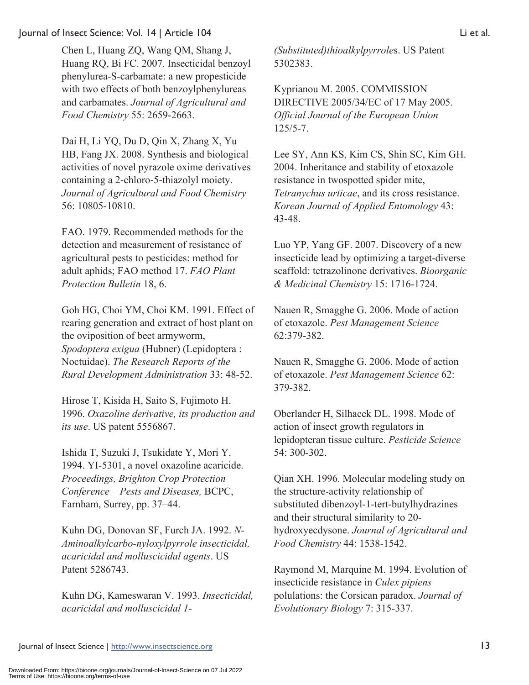Chen L, Huang ZQ, Wang QM, Shang J, Huang RQ, Bi FC. 2007. Insecticidal benzoyl phenylurea-S-carbamate: a new propesticide with two effects of both benzoylphenylureas and carbamates. *Journal of Agricultural and Food Chemistry* 55: 2659-2663.

Dai H, Li YQ, Du D, Qin X, Zhang X, Yu HB, Fang JX. 2008. Synthesis and biological activities of novel pyrazole oxime derivatives containing a 2-chloro-5-thiazolyl moiety. *Journal of Agricultural and Food Chemistry* 56: 10805-10810.

FAO. 1979. Recommended methods for the detection and measurement of resistance of agricultural pests to pesticides: method for adult aphids; FAO method 17. *FAO Plant Protection Bulletin* 18, 6.

Goh HG, Choi YM, Choi KM. 1991. Effect of rearing generation and extract of host plant on the oviposition of beet armyworm, *Spodoptera exigua* (Hubner) (Lepidoptera : Noctuidae). *The Research Reports of the Rural Development Administration* 33: 48-52.

Hirose T, Kisida H, Saito S, Fujimoto H. 1996. *Oxazoline derivative, its production and its use*. US patent 5556867.

Ishida T, Suzuki J, Tsukidate Y, Mori Y. 1994. YI-5301, a novel oxazoline acaricide. *Proceedings, Brighton Crop Protection Conference – Pests and Diseases,* BCPC, Farnham, Surrey, pp. 37–44.

Kuhn DG, Donovan SF, Furch JA. 1992. *N-Aminoalkylcarbo-nyloxylpyrrole insecticidal, acaricidal and molluscicidal agents*. US Patent 5286743.

Kuhn DG, Kameswaran V. 1993. *Insecticidal, acaricidal and molluscicidal 1-* *(Substituted)thioalkylpyrrole*s. US Patent 5302383.

Kyprianou M. 2005. COMMISSION DIRECTIVE 2005/34/EC of 17 May 2005. *Official Journal of the European Union* 125/5-7.

Lee SY, Ann KS, Kim CS, Shin SC, Kim GH. 2004. Inheritance and stability of etoxazole resistance in twospotted spider mite, *Tetranychus urticae*, and its cross resistance. *Korean Journal of Applied Entomology* 43: 43-48.

Luo YP, Yang GF. 2007. Discovery of a new insecticide lead by optimizing a target-diverse scaffold: tetrazolinone derivatives. *Bioorganic & Medicinal Chemistry* 15: 1716-1724.

Nauen R, Smagghe G. 2006. Mode of action of etoxazole. *Pest Management Science* 62:379-382.

Nauen R, Smagghe G. 2006. Mode of action of etoxazole. *Pest Management Science* 62: 379-382.

Oberlander H, Silhacek DL. 1998. Mode of action of insect growth regulators in lepidopteran tissue culture. *Pesticide Science*  54: 300-302.

Qian XH. 1996. Molecular modeling study on the structure-activity relationship of substituted dibenzoyl-1-tert-butylhydrazines and their structural similarity to 20 hydroxyecdysone. *Journal of Agricultural and Food Chemistry* 44: 1538-1542.

Raymond M, Marquine M. 1994. Evolution of insecticide resistance in *Culex pipiens* polulations: the Corsican paradox. *Journal of Evolutionary Biology* 7: 315-337.